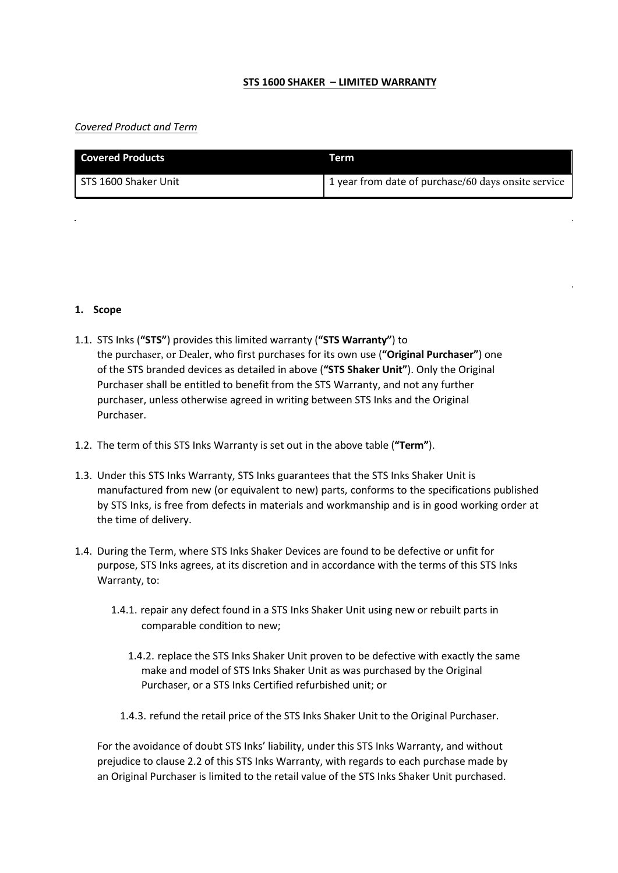## **STS 1600 SHAKER – LIMITED WARRANTY**

## *Covered Product and Term*

| <b>Covered Products</b> | Term                                                |
|-------------------------|-----------------------------------------------------|
| STS 1600 Shaker Unit    | 1 year from date of purchase/60 days onsite service |

#### **1. Scope**

- 1.1. STS Inks (**"STS"**) provides this limited warranty (**"STS Warranty"**) to the purchaser, or Dealer, who first purchases for its own use (**"Original Purchaser"**) one of the STS branded devices as detailed in above (**"STS Shaker Unit"**). Only the Original Purchaser shall be entitled to benefit from the STS Warranty, and not any further purchaser, unless otherwise agreed in writing between STS Inks and the Original Purchaser.
- 1.2. The term of this STS Inks Warranty is set out in the above table (**"Term"**).
- 1.3. Under this STS Inks Warranty, STS Inks guarantees that the STS Inks Shaker Unit is manufactured from new (or equivalent to new) parts, conforms to the specifications published by STS Inks, is free from defects in materials and workmanship and is in good working order at the time of delivery.
- 1.4. During the Term, where STS Inks Shaker Devices are found to be defective or unfit for purpose, STS Inks agrees, at its discretion and in accordance with the terms of this STS Inks Warranty, to:
	- 1.4.1. repair any defect found in a STS Inks Shaker Unit using new or rebuilt parts in comparable condition to new;
		- 1.4.2. replace the STS Inks Shaker Unit proven to be defective with exactly the same make and model of STS Inks Shaker Unit as was purchased by the Original Purchaser, or a STS Inks Certified refurbished unit; or
		- 1.4.3. refund the retail price of the STS Inks Shaker Unit to the Original Purchaser.

For the avoidance of doubt STS Inks' liability, under this STS Inks Warranty, and without prejudice to clause 2.2 of this STS Inks Warranty, with regards to each purchase made by an Original Purchaser is limited to the retail value of the STS Inks Shaker Unit purchased.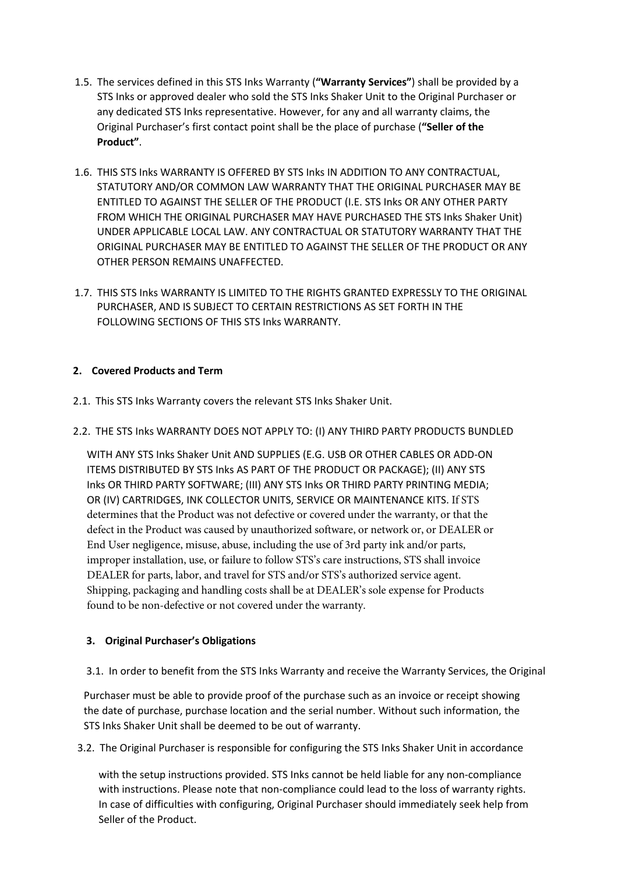- 1.5. The services defined in this STS Inks Warranty (**"Warranty Services"**) shall be provided by a STS Inks or approved dealer who sold the STS Inks Shaker Unit to the Original Purchaser or any dedicated STS Inks representative. However, for any and all warranty claims, the Original Purchaser's first contact point shall be the place of purchase (**"Seller of the Product"**.
- 1.6. THIS STS Inks WARRANTY IS OFFERED BY STS Inks IN ADDITION TO ANY CONTRACTUAL, STATUTORY AND/OR COMMON LAW WARRANTY THAT THE ORIGINAL PURCHASER MAY BE ENTITLED TO AGAINST THE SELLER OF THE PRODUCT (I.E. STS Inks OR ANY OTHER PARTY FROM WHICH THE ORIGINAL PURCHASER MAY HAVE PURCHASED THE STS Inks Shaker Unit) UNDER APPLICABLE LOCAL LAW. ANY CONTRACTUAL OR STATUTORY WARRANTY THAT THE ORIGINAL PURCHASER MAY BE ENTITLED TO AGAINST THE SELLER OF THE PRODUCT OR ANY OTHER PERSON REMAINS UNAFFECTED.
- 1.7. THIS STS Inks WARRANTY IS LIMITED TO THE RIGHTS GRANTED EXPRESSLY TO THE ORIGINAL PURCHASER, AND IS SUBJECT TO CERTAIN RESTRICTIONS AS SET FORTH IN THE FOLLOWING SECTIONS OF THIS STS Inks WARRANTY.

# **2. Covered Products and Term**

2.1. This STS Inks Warranty covers the relevant STS Inks Shaker Unit.

## 2.2. THE STS Inks WARRANTY DOES NOT APPLY TO: (I) ANY THIRD PARTY PRODUCTS BUNDLED

WITH ANY STS Inks Shaker Unit AND SUPPLIES (E.G. USB OR OTHER CABLES OR ADD-ON ITEMS DISTRIBUTED BY STS Inks AS PART OF THE PRODUCT OR PACKAGE); (II) ANY STS Inks OR THIRD PARTY SOFTWARE; (III) ANY STS Inks OR THIRD PARTY PRINTING MEDIA; OR (IV) CARTRIDGES, INK COLLECTOR UNITS, SERVICE OR MAINTENANCE KITS. If STS determines that the Product was not defective or covered under the warranty, or that the defect in the Product was caused by unauthorized software, or network or, or DEALER or End User negligence, misuse, abuse, including the use of 3rd party ink and/or parts, improper installation, use, or failure to follow STS's care instructions, STS shall invoice DEALER for parts, labor, and travel for STS and/or STS's authorized service agent. Shipping, packaging and handling costs shall be at DEALER's sole expense for Products found to be non-defective or not covered under the warranty.

#### **3. Original Purchaser's Obligations**

3.1. In order to benefit from the STS Inks Warranty and receive the Warranty Services, the Original

Purchaser must be able to provide proof of the purchase such as an invoice or receipt showing the date of purchase, purchase location and the serial number. Without such information, the STS Inks Shaker Unit shall be deemed to be out of warranty.

3.2. The Original Purchaser is responsible for configuring the STS Inks Shaker Unit in accordance

with the setup instructions provided. STS Inks cannot be held liable for any non-compliance with instructions. Please note that non-compliance could lead to the loss of warranty rights. In case of difficulties with configuring, Original Purchaser should immediately seek help from Seller of the Product.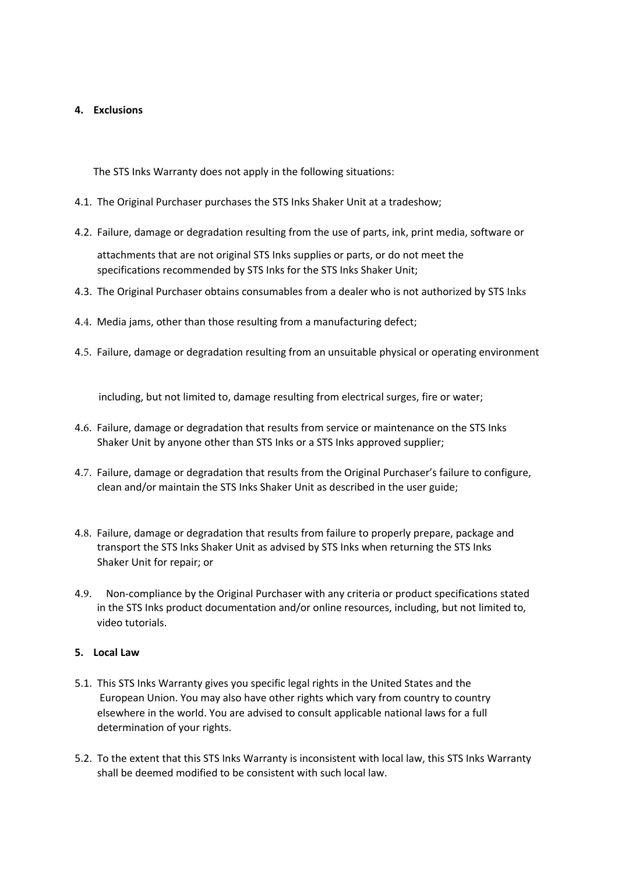## **4. Exclusions**

The STS Inks Warranty does not apply in the following situations:

- 4.1. The Original Purchaser purchases the STS Inks Shaker Unit at a tradeshow;
- 4.2. Failure, damage or degradation resulting from the use of parts, ink, print media, software or

attachments that are not original STS Inks supplies or parts, or do not meet the specifications recommended by STS Inks for the STS Inks Shaker Unit;

- 4.3. The Original Purchaser obtains consumables from a dealer who is not authorized by STS Inks
- 4.4. Media jams, other than those resulting from a manufacturing defect;
- 4.5. Failure, damage or degradation resulting from an unsuitable physical or operating environment

including, but not limited to, damage resulting from electrical surges, fire or water;

- 4.6. Failure, damage or degradation that results from service or maintenance on the STS Inks Shaker Unit by anyone other than STS Inks or a STS Inks approved supplier;
- 4.7. Failure, damage or degradation that results from the Original Purchaser's failure to configure, clean and/or maintain the STS Inks Shaker Unit as described in the user guide;
- 4.8. Failure, damage or degradation that results from failure to properly prepare, package and transport the STS Inks Shaker Unit as advised by STS Inks when returning the STS Inks Shaker Unit for repair; or
- 4.9. Non-compliance by the Original Purchaser with any criteria or product specifications stated in the STS Inks product documentation and/or online resources, including, but not limited to, video tutorials.

## **5. Local Law**

- 5.1. This STS Inks Warranty gives you specific legal rights in the United States and the European Union. You may also have other rights which vary from country to country elsewhere in the world. You are advised to consult applicable national laws for a full determination of your rights.
- 5.2. To the extent that this STS Inks Warranty is inconsistent with local law, this STS Inks Warranty shall be deemed modified to be consistent with such local law.